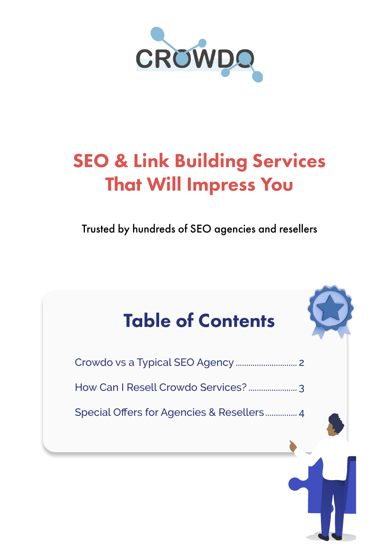

## SEO & Link Building Services That Will Impress You

Trusted by hundreds of SEO agencies and resellers

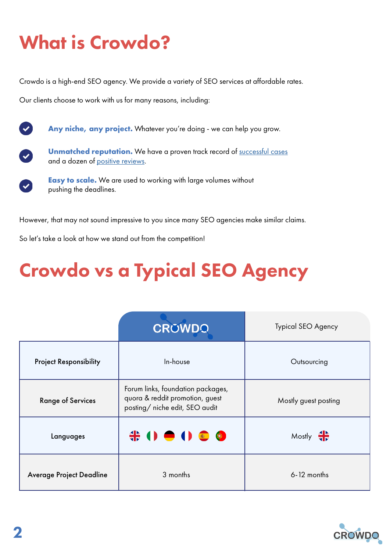## <span id="page-1-0"></span>What is Crowdo?

Crowdo is a high-end SEO agency. We provide a variety of SEO services at affordable rates.

Our clients choose to work with us for many reasons, including:



Any niche, any project. Whatever you're doing - we can help you grow.



 $\bullet$ 

**Unmatched reputation.** We have a proven track record of successful [cases](https://crowdo.net/cases) and a dozen of [positive reviews.](https://www.trustpilot.com/review/crowdo.net?utm_medium=trustbox&utm_source=MicroReviewCount)

**Easy to scale.** We are used to working with large volumes without pushing the deadlines.

However, that may not sound impressive to you since many SEO agencies make similar claims.

So let's take a look at how we stand out from the competition!

# Crowdo vs a Typical SEO Agency

|                                 | <b>CROWDO</b>                                                                                          | Typical SEO Agency   |
|---------------------------------|--------------------------------------------------------------------------------------------------------|----------------------|
| <b>Project Responsibility</b>   | In-house                                                                                               | Outsourcing          |
| <b>Range of Services</b>        | Forum links, foundation packages,<br>quora & reddit promotion, guest<br>posting/ niche edit, SEO audit | Mostly guest posting |
| Languages                       |                                                                                                        | Mostly $\frac{4}{3}$ |
| <b>Average Project Deadline</b> | 3 months                                                                                               | $6 - 12$ months      |

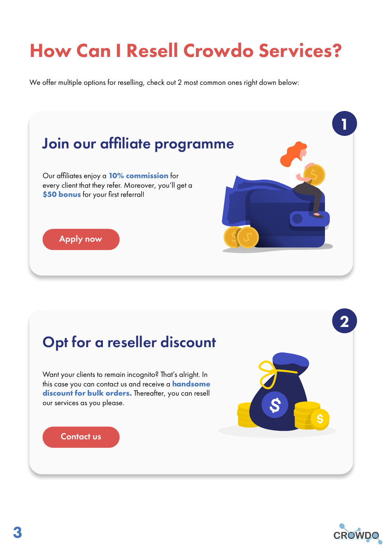# <span id="page-2-0"></span>How Can I Resell Crowdo Services?

We offer multiple options for reselling, check out 2 most common ones right down below:



### Opt for a reseller discount

Want your clients to remain incognito? That's alright. In this case you can contact us and receive a **handsome discount for bulk orders.** Thereafter, you can resell our services as you please.

### [Contact us](https://calendly.com/crowdo/15min)



2